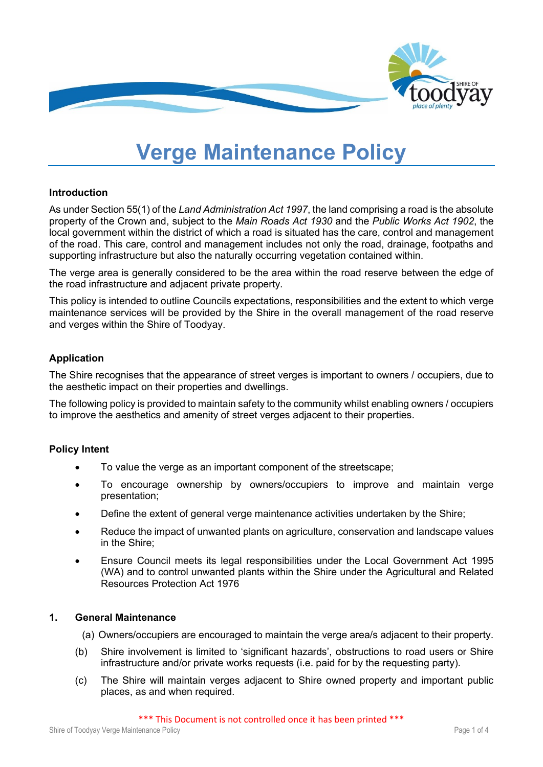

# **Verge Maintenance Policy**

#### **Introduction**

As under Section 55(1) of the *Land Administration Act 1997*, the land comprising a road is the absolute property of the Crown and, subject to the *Main Roads Act 1930* and the *Public Works Act 1902*, the local government within the district of which a road is situated has the care, control and management of the road. This care, control and management includes not only the road, drainage, footpaths and supporting infrastructure but also the naturally occurring vegetation contained within.

The verge area is generally considered to be the area within the road reserve between the edge of the road infrastructure and adjacent private property.

This policy is intended to outline Councils expectations, responsibilities and the extent to which verge maintenance services will be provided by the Shire in the overall management of the road reserve and verges within the Shire of Toodyay.

#### **Application**

The Shire recognises that the appearance of street verges is important to owners / occupiers, due to the aesthetic impact on their properties and dwellings.

The following policy is provided to maintain safety to the community whilst enabling owners / occupiers to improve the aesthetics and amenity of street verges adjacent to their properties.

#### **Policy Intent**

- To value the verge as an important component of the streetscape;
- To encourage ownership by owners/occupiers to improve and maintain verge presentation;
- Define the extent of general verge maintenance activities undertaken by the Shire;
- Reduce the impact of unwanted plants on agriculture, conservation and landscape values in the Shire;
- Ensure Council meets its legal responsibilities under the Local Government Act 1995 (WA) and to control unwanted plants within the Shire under the Agricultural and Related Resources Protection Act 1976

#### **1. General Maintenance**

- (a) Owners/occupiers are encouraged to maintain the verge area/s adjacent to their property.
- (b) Shire involvement is limited to 'significant hazards', obstructions to road users or Shire infrastructure and/or private works requests (i.e. paid for by the requesting party).
- (c) The Shire will maintain verges adjacent to Shire owned property and important public places, as and when required.

\*\*\* This Document is not controlled once it has been printed \*\*\*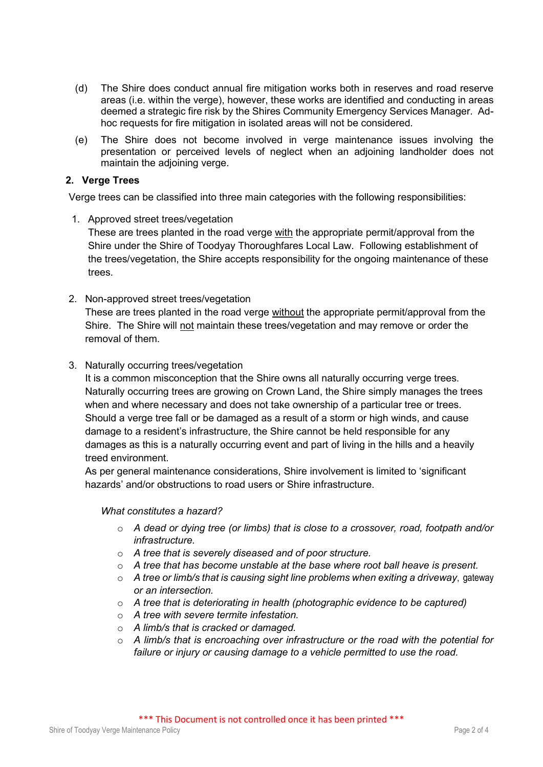- (d) The Shire does conduct annual fire mitigation works both in reserves and road reserve areas (i.e. within the verge), however, these works are identified and conducting in areas deemed a strategic fire risk by the Shires Community Emergency Services Manager. Adhoc requests for fire mitigation in isolated areas will not be considered.
- (e) The Shire does not become involved in verge maintenance issues involving the presentation or perceived levels of neglect when an adjoining landholder does not maintain the adjoining verge.

#### **2. Verge Trees**

Verge trees can be classified into three main categories with the following responsibilities:

- 1. Approved street trees/vegetation These are trees planted in the road verge with the appropriate permit/approval from the Shire under the Shire of Toodyay Thoroughfares Local Law. Following establishment of the trees/vegetation, the Shire accepts responsibility for the ongoing maintenance of these trees.
- 2. Non-approved street trees/vegetation These are trees planted in the road verge without the appropriate permit/approval from the Shire. The Shire will not maintain these trees/vegetation and may remove or order the removal of them.
- 3. Naturally occurring trees/vegetation

It is a common misconception that the Shire owns all naturally occurring verge trees. Naturally occurring trees are growing on Crown Land, the Shire simply manages the trees when and where necessary and does not take ownership of a particular tree or trees. Should a verge tree fall or be damaged as a result of a storm or high winds, and cause damage to a resident's infrastructure, the Shire cannot be held responsible for any damages as this is a naturally occurring event and part of living in the hills and a heavily treed environment.

As per general maintenance considerations, Shire involvement is limited to 'significant hazards' and/or obstructions to road users or Shire infrastructure.

#### *What constitutes a hazard?*

- o *A dead or dying tree (or limbs) that is close to a crossover, road, footpath and/or infrastructure.*
- o *A tree that is severely diseased and of poor structure.*
- o *A tree that has become unstable at the base where root ball heave is present.*
- o *A tree or limb/s that is causing sight line problems when exiting a driveway*, gateway *or an intersection.*
- o *A tree that is deteriorating in health (photographic evidence to be captured)*
- o *A tree with severe termite infestation.*
- o *A limb/s that is cracked or damaged.*
- o *A limb/s that is encroaching over infrastructure or the road with the potential for failure or injury or causing damage to a vehicle permitted to use the road.*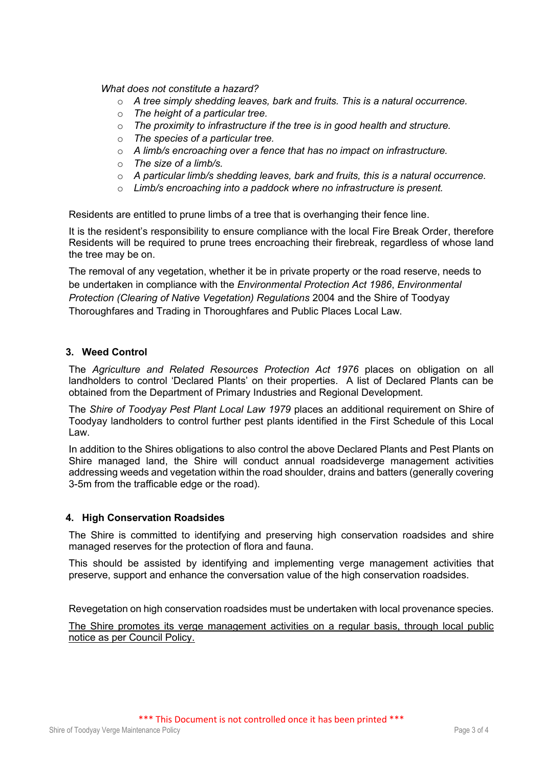*What does not constitute a hazard?*

- o *A tree simply shedding leaves, bark and fruits. This is a natural occurrence.*
- o *The height of a particular tree.*
- o *The proximity to infrastructure if the tree is in good health and structure.*
- o *The species of a particular tree.*
- o *A limb/s encroaching over a fence that has no impact on infrastructure.*
- o *The size of a limb/s.*
- o *A particular limb/s shedding leaves, bark and fruits, this is a natural occurrence.*
- o *Limb/s encroaching into a paddock where no infrastructure is present.*

Residents are entitled to prune limbs of a tree that is overhanging their fence line.

It is the resident's responsibility to ensure compliance with the local Fire Break Order, therefore Residents will be required to prune trees encroaching their firebreak, regardless of whose land the tree may be on.

The removal of any vegetation, whether it be in private property or the road reserve, needs to be undertaken in compliance with the *Environmental Protection Act 1986*, *Environmental Protection (Clearing of Native Vegetation) Regulations* 2004 and the Shire of Toodyay Thoroughfares and Trading in Thoroughfares and Public Places Local Law.

#### **3. Weed Control**

The *Agriculture and Related Resources Protection Act 1976* places on obligation on all landholders to control 'Declared Plants' on their properties. A list of Declared Plants can be obtained from the Department of Primary Industries and Regional Development.

The *Shire of Toodyay Pest Plant Local Law 1979* places an additional requirement on Shire of Toodyay landholders to control further pest plants identified in the First Schedule of this Local Law.

In addition to the Shires obligations to also control the above Declared Plants and Pest Plants on Shire managed land, the Shire will conduct annual roadsideverge management activities addressing weeds and vegetation within the road shoulder, drains and batters (generally covering 3-5m from the trafficable edge or the road).

#### **4. High Conservation Roadsides**

The Shire is committed to identifying and preserving high conservation roadsides and shire managed reserves for the protection of flora and fauna.

This should be assisted by identifying and implementing verge management activities that preserve, support and enhance the conversation value of the high conservation roadsides.

Revegetation on high conservation roadsides must be undertaken with local provenance species.

The Shire promotes its verge management activities on a regular basis, through local public notice as per Council Policy.